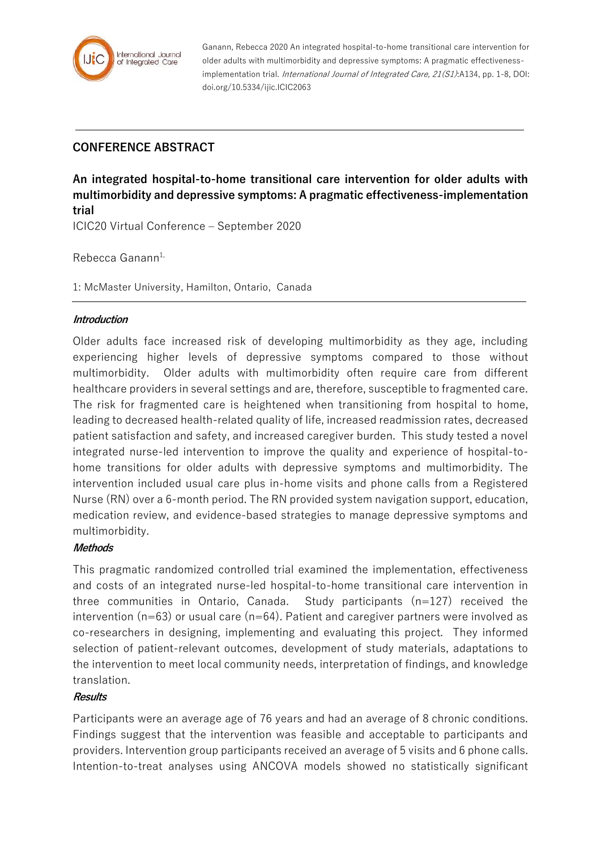

Ganann, Rebecca 2020 An integrated hospital-to-home transitional care intervention for older adults with multimorbidity and depressive symptoms: A pragmatic effectivenessimplementation trial. *International Journal of Integrated Care, 21(S1)*:A134, pp. 1-8, DOI: doi.org/10.5334/ijic.ICIC2063

# **CONFERENCE ABSTRACT**

**An integrated hospital-to-home transitional care intervention for older adults with multimorbidity and depressive symptoms: A pragmatic effectiveness-implementation trial**

ICIC20 Virtual Conference – September 2020

Rebecca Ganann $1$ ,

1: McMaster University, Hamilton, Ontario, Canada

# **Introduction**

Older adults face increased risk of developing multimorbidity as they age, including experiencing higher levels of depressive symptoms compared to those without multimorbidity. Older adults with multimorbidity often require care from different healthcare providers in several settings and are, therefore, susceptible to fragmented care. The risk for fragmented care is heightened when transitioning from hospital to home, leading to decreased health-related quality of life, increased readmission rates, decreased patient satisfaction and safety, and increased caregiver burden. This study tested a novel integrated nurse-led intervention to improve the quality and experience of hospital-tohome transitions for older adults with depressive symptoms and multimorbidity. The intervention included usual care plus in-home visits and phone calls from a Registered Nurse (RN) over a 6-month period. The RN provided system navigation support, education, medication review, and evidence-based strategies to manage depressive symptoms and multimorbidity.

# **Methods**

This pragmatic randomized controlled trial examined the implementation, effectiveness and costs of an integrated nurse-led hospital-to-home transitional care intervention in three communities in Ontario, Canada. Study participants (n=127) received the intervention ( $n=63$ ) or usual care ( $n=64$ ). Patient and caregiver partners were involved as co-researchers in designing, implementing and evaluating this project. They informed selection of patient-relevant outcomes, development of study materials, adaptations to the intervention to meet local community needs, interpretation of findings, and knowledge translation.

#### **Results**

Participants were an average age of 76 years and had an average of 8 chronic conditions. Findings suggest that the intervention was feasible and acceptable to participants and providers. Intervention group participants received an average of 5 visits and 6 phone calls. Intention-to-treat analyses using ANCOVA models showed no statistically significant